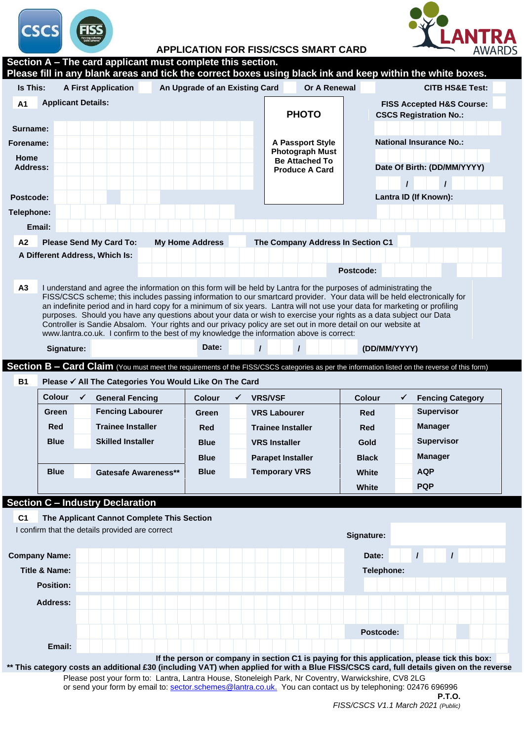

## **ITRA**<br>AWARDS АI

**APPLICATION FOR FISS/CSCS SMART CARD**

| Is This:<br>An Upgrade of an Existing Card<br>Or A Renewal<br><b>A First Application</b><br><b>Applicant Details:</b><br>A <sub>1</sub><br><b>FISS Accepted H&amp;S Course:</b><br><b>PHOTO</b><br><b>CSCS Registration No.:</b><br><b>National Insurance No.:</b><br><b>A Passport Style</b><br><b>Photograph Must</b><br><b>Be Attached To</b><br>Date Of Birth: (DD/MM/YYYY)<br><b>Produce A Card</b><br>Lantra ID (If Known):<br>Email:<br><b>Please Send My Card To:</b><br><b>My Home Address</b><br>The Company Address In Section C1 | <b>CITB HS&amp;E Test:</b> |
|----------------------------------------------------------------------------------------------------------------------------------------------------------------------------------------------------------------------------------------------------------------------------------------------------------------------------------------------------------------------------------------------------------------------------------------------------------------------------------------------------------------------------------------------|----------------------------|
|                                                                                                                                                                                                                                                                                                                                                                                                                                                                                                                                              |                            |
| Surname:<br>Home<br>A <sub>2</sub><br>A Different Address, Which Is:                                                                                                                                                                                                                                                                                                                                                                                                                                                                         |                            |
| Forename:<br><b>Address:</b>                                                                                                                                                                                                                                                                                                                                                                                                                                                                                                                 |                            |
|                                                                                                                                                                                                                                                                                                                                                                                                                                                                                                                                              |                            |
|                                                                                                                                                                                                                                                                                                                                                                                                                                                                                                                                              |                            |
|                                                                                                                                                                                                                                                                                                                                                                                                                                                                                                                                              |                            |
| Postcode:<br>Telephone:                                                                                                                                                                                                                                                                                                                                                                                                                                                                                                                      |                            |
|                                                                                                                                                                                                                                                                                                                                                                                                                                                                                                                                              |                            |
|                                                                                                                                                                                                                                                                                                                                                                                                                                                                                                                                              |                            |
|                                                                                                                                                                                                                                                                                                                                                                                                                                                                                                                                              |                            |
|                                                                                                                                                                                                                                                                                                                                                                                                                                                                                                                                              |                            |
|                                                                                                                                                                                                                                                                                                                                                                                                                                                                                                                                              |                            |
| Postcode:                                                                                                                                                                                                                                                                                                                                                                                                                                                                                                                                    |                            |
| purposes. Should you have any questions about your data or wish to exercise your rights as a data subject our Data<br>Controller is Sandie Absalom. Your rights and our privacy policy are set out in more detail on our website at<br>www.lantra.co.uk. I confirm to the best of my knowledge the information above is correct:                                                                                                                                                                                                             |                            |
| Date:<br>$\prime$<br>$\prime$<br>(DD/MM/YYYY)<br>Signature:                                                                                                                                                                                                                                                                                                                                                                                                                                                                                  |                            |
| <b>B1</b><br>Please √ All The Categories You Would Like On The Card<br><b>Colour</b><br>$\checkmark$<br><b>Colour</b><br>$\checkmark$<br><b>VRS/VSF</b><br><b>General Fencing</b><br><b>Colour</b><br>$\checkmark$                                                                                                                                                                                                                                                                                                                           |                            |
|                                                                                                                                                                                                                                                                                                                                                                                                                                                                                                                                              | <b>Fencing Category</b>    |
| <b>Supervisor</b><br><b>Fencing Labourer</b><br>Green<br><b>VRS Labourer</b><br>Red<br>Green                                                                                                                                                                                                                                                                                                                                                                                                                                                 |                            |
| <b>Trainee Installer</b><br>Red<br><b>Manager</b><br><b>Trainee Installer</b><br>Red<br>Red                                                                                                                                                                                                                                                                                                                                                                                                                                                  |                            |
| <b>Supervisor</b><br><b>Blue</b><br><b>Skilled Installer</b><br><b>VRS Installer</b><br><b>Blue</b><br>Gold                                                                                                                                                                                                                                                                                                                                                                                                                                  |                            |
| <b>Manager</b><br><b>Blue</b><br><b>Parapet Installer</b><br><b>Black</b>                                                                                                                                                                                                                                                                                                                                                                                                                                                                    |                            |
| <b>Blue</b><br><b>Blue</b><br><b>Temporary VRS</b><br>AQP<br><b>Gatesafe Awareness**</b><br>White                                                                                                                                                                                                                                                                                                                                                                                                                                            |                            |